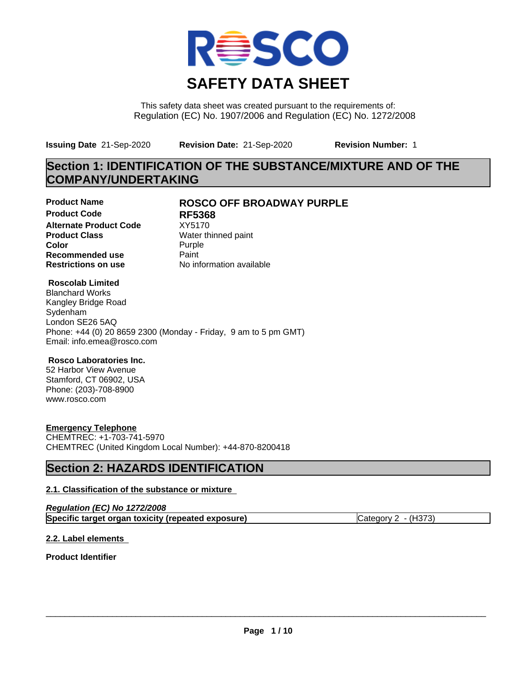

This safety data sheet was created pursuant to the requirements of: Regulation (EC) No. 1907/2006 and Regulation (EC) No. 1272/2008

**Issuing Date** 21-Sep-2020 **Revision Date:** 21-Sep-2020 **Revision Number:** 1

## **Section 1: IDENTIFICATION OF THE SUBSTANCE/MIXTURE AND OF THE COMPANY/UNDERTAKING**

**Product Code RF5368 Alternate Product Code** XY5170<br> **Product Class** Water th **Product Class** Water thinned paint<br> **Color** Purple **Color** Purple **Purple Recommended use** Paint<br> **Restrictions on use** Mo information available **Restrictions on use** 

## **Product Name ROSCO OFF BROADWAY PURPLE**

### **Roscolab Limited**

Blanchard Works Kangley Bridge Road Sydenham London SE26 5AQ Phone: +44 (0) 20 8659 2300 (Monday - Friday, 9 am to 5 pm GMT) Email: info.emea@rosco.com

### **Rosco Laboratories Inc.**

52 Harbor View Avenue Stamford, CT 06902, USA Phone: (203)-708-8900 www.rosco.com

### **Emergency Telephone**

CHEMTREC: +1-703-741-5970 CHEMTREC (United Kingdom Local Number): +44-870-8200418

## **Section 2: HAZARDS IDENTIFICATION**

### **2.1. Classification of the substance or mixture**

| Regulation (EC) No 1272/2008                       |                       |
|----------------------------------------------------|-----------------------|
| Specific target organ toxicity (repeated exposure) | Category $2 - (H373)$ |

### **2.2. Label elements**

**Product Identifier**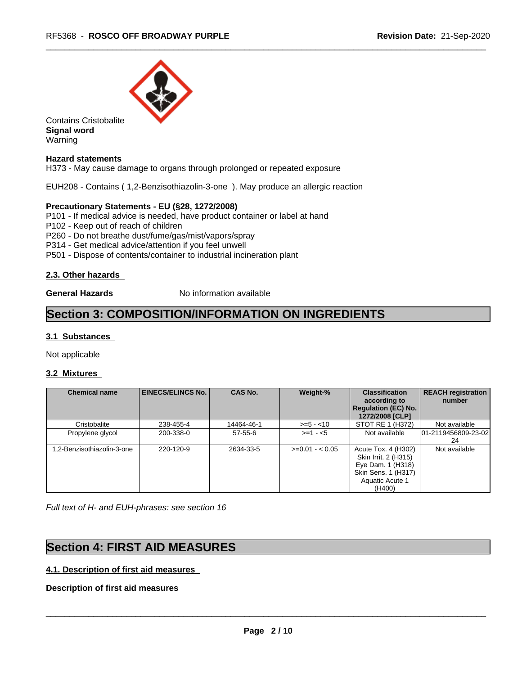

Contains Cristobalite **Signal word** Warning

### **Hazard statements**

H373 - May cause damage to organs through prolonged or repeated exposure

EUH208 - Contains ( 1,2-Benzisothiazolin-3-one ). May produce an allergic reaction

### **Precautionary Statements - EU (§28, 1272/2008)**

P101 - If medical advice is needed, have product container or label at hand

P102 - Keep out of reach of children

P260 - Do not breathe dust/fume/gas/mist/vapors/spray

P314 - Get medical advice/attention if you feel unwell

P501 - Dispose of contents/container to industrial incineration plant

### **2.3. Other hazards**

**General Hazards** No information available

## **Section 3: COMPOSITION/INFORMATION ON INGREDIENTS**

### **3.1 Substances**

Not applicable

### **3.2 Mixtures**

| <b>Chemical name</b>       | <b>EINECS/ELINCS No.</b> | <b>CAS No.</b> | Weight-%        | <b>Classification</b><br>according to<br><b>Regulation (EC) No.</b><br>1272/2008 [CLP]                               | <b>REACH registration</b><br>number |
|----------------------------|--------------------------|----------------|-----------------|----------------------------------------------------------------------------------------------------------------------|-------------------------------------|
| Cristobalite               | 238-455-4                | 14464-46-1     | $>= 5 - 10$     | STOT RE 1 (H372)                                                                                                     | Not available                       |
| Propylene glycol           | 200-338-0                | $57 - 55 - 6$  | $>= 1 - 5$      | Not available                                                                                                        | 01-2119456809-23-02<br>24           |
| 1,2-Benzisothiazolin-3-one | 220-120-9                | 2634-33-5      | $>=0.01 - 0.05$ | Acute Tox. 4 (H302)<br>Skin Irrit. 2 (H315)<br>Eye Dam. 1 (H318)<br>Skin Sens. 1 (H317)<br>Aquatic Acute 1<br>(H400) | Not available                       |

*Full text of H- and EUH-phrases: see section 16*

## **Section 4: FIRST AID MEASURES**

### **4.1. Description of first aid measures**

**Description of first aid measures**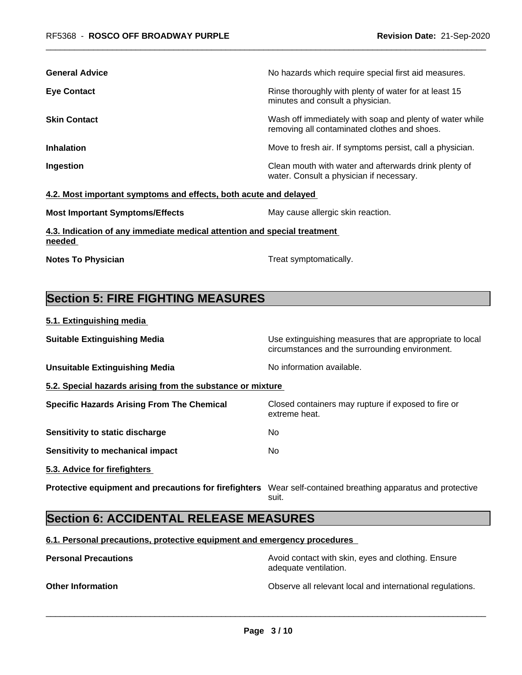| <b>General Advice</b>                                                              | No hazards which require special first aid measures.                                                     |
|------------------------------------------------------------------------------------|----------------------------------------------------------------------------------------------------------|
| <b>Eye Contact</b>                                                                 | Rinse thoroughly with plenty of water for at least 15<br>minutes and consult a physician.                |
| <b>Skin Contact</b>                                                                | Wash off immediately with soap and plenty of water while<br>removing all contaminated clothes and shoes. |
| <b>Inhalation</b>                                                                  | Move to fresh air. If symptoms persist, call a physician.                                                |
| Ingestion                                                                          | Clean mouth with water and afterwards drink plenty of<br>water. Consult a physician if necessary.        |
| 4.2. Most important symptoms and effects, both acute and delayed                   |                                                                                                          |
| <b>Most Important Symptoms/Effects</b>                                             | May cause allergic skin reaction.                                                                        |
| 4.3. Indication of any immediate medical attention and special treatment<br>needed |                                                                                                          |
| <b>Notes To Physician</b>                                                          | Treat symptomatically.                                                                                   |

# **Section 5: FIRE FIGHTING MEASURES**

**5.1. Extinguishing media**

| <b>Suitable Extinguishing Media</b>                        | Use extinguishing measures that are appropriate to local<br>circumstances and the surrounding environment. |
|------------------------------------------------------------|------------------------------------------------------------------------------------------------------------|
| <b>Unsuitable Extinguishing Media</b>                      | No information available.                                                                                  |
| 5.2. Special hazards arising from the substance or mixture |                                                                                                            |
| <b>Specific Hazards Arising From The Chemical</b>          | Closed containers may rupture if exposed to fire or<br>extreme heat.                                       |
| Sensitivity to static discharge                            | No.                                                                                                        |
| Sensitivity to mechanical impact                           | No.                                                                                                        |
| 5.3. Advice for firefighters                               |                                                                                                            |
| Protective equipment and precautions for firefighters      | Wear self-contained breathing apparatus and protective<br>suit.                                            |

## **Section 6: ACCIDENTAL RELEASE MEASURES**

**6.1. Personal precautions, protective equipment and emergency procedures**

**Personal Precautions Precautions** Avoid contact with skin, eyes and clothing. Ensure adequate ventilation. **Other Information Observe all relevant local and international regulations.**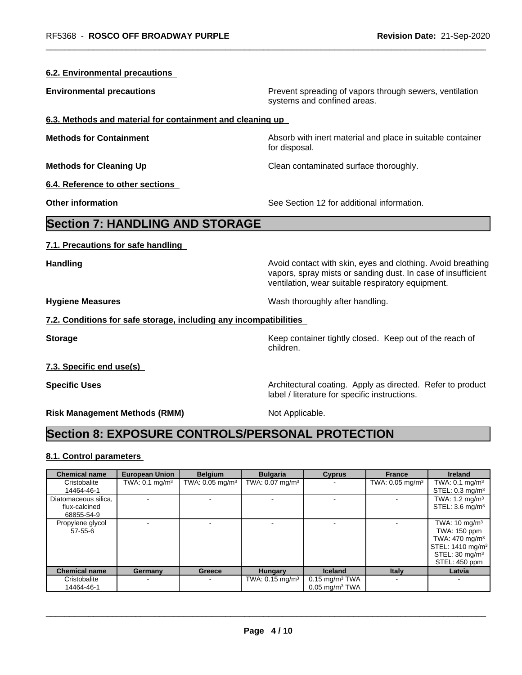| <b>6.2. Environmental precautions</b>                                                        |                                                                                                                                                                                  |
|----------------------------------------------------------------------------------------------|----------------------------------------------------------------------------------------------------------------------------------------------------------------------------------|
| <b>Environmental precautions</b>                                                             | Prevent spreading of vapors through sewers, ventilation<br>systems and confined areas.                                                                                           |
| 6.3. Methods and material for containment and cleaning up                                    |                                                                                                                                                                                  |
| <b>Methods for Containment</b>                                                               | Absorb with inert material and place in suitable container<br>for disposal.                                                                                                      |
| <b>Methods for Cleaning Up</b>                                                               | Clean contaminated surface thoroughly.                                                                                                                                           |
| 6.4. Reference to other sections                                                             |                                                                                                                                                                                  |
| <b>Other information</b>                                                                     | See Section 12 for additional information.                                                                                                                                       |
| <b>Section 7: HANDLING AND STORAGE</b>                                                       |                                                                                                                                                                                  |
| 7.1. Precautions for safe handling                                                           |                                                                                                                                                                                  |
| <b>Handling</b>                                                                              | Avoid contact with skin, eyes and clothing. Avoid breathing<br>vapors, spray mists or sanding dust. In case of insufficient<br>ventilation, wear suitable respiratory equipment. |
| <b>Hygiene Measures</b>                                                                      | Wash thoroughly after handling.                                                                                                                                                  |
| 7.2. Conditions for safe storage, including any incompatibilities                            |                                                                                                                                                                                  |
| <b>Storage</b>                                                                               | Keep container tightly closed. Keep out of the reach of<br>children.                                                                                                             |
| 7.3. Specific end use(s)                                                                     |                                                                                                                                                                                  |
| <b>Specific Uses</b>                                                                         | Architectural coating. Apply as directed. Refer to product<br>label / literature for specific instructions.                                                                      |
| <b>Risk Management Methods (RMM)</b>                                                         | Not Applicable.                                                                                                                                                                  |
| <b>Section 8: EXPOSURE CONTROLS/PERSONAL PROTECTION</b>                                      |                                                                                                                                                                                  |
| 8.1. Control parameters                                                                      |                                                                                                                                                                                  |
| <b>Chemical name</b><br><b>European Union</b><br><b>Belgium</b><br>T1111.04<br>$\sim$ $\sim$ | <b>Bulgaria</b><br><b>Cyprus</b><br><b>France</b><br><b>Ireland</b><br>T(111.000)<br>T1111.04                                                                                    |

|                      |                           | $-0.91$                    | $-$ urgura                    | $\sim$ ypiwo                 | .                             |                              |
|----------------------|---------------------------|----------------------------|-------------------------------|------------------------------|-------------------------------|------------------------------|
| Cristobalite         | TWA: $0.1 \text{ mg/m}^3$ | TWA: $0.05 \text{ mg/m}^3$ | TWA: $0.07$ mg/m <sup>3</sup> |                              | TWA: $0.05$ mg/m <sup>3</sup> | TWA: $0.1 \text{ mg/m}^3$    |
| 14464-46-1           |                           |                            |                               |                              |                               | STEL: $0.3 \text{ mg/m}^3$   |
| Diatomaceous silica, |                           |                            |                               |                              |                               | TWA: $1.2 \text{ mg/m}^3$    |
| flux-calcined        |                           |                            |                               |                              |                               | STEL: $3.6 \text{ mg/m}^3$   |
| 68855-54-9           |                           |                            |                               |                              |                               |                              |
| Propylene glycol     |                           |                            |                               |                              |                               | TWA: $10 \text{ mg/m}^3$     |
| $57 - 55 - 6$        |                           |                            |                               |                              |                               | TWA: 150 ppm                 |
|                      |                           |                            |                               |                              |                               | TWA: $470 \text{ mg/m}^3$    |
|                      |                           |                            |                               |                              |                               | STEL: 1410 mg/m <sup>3</sup> |
|                      |                           |                            |                               |                              |                               | STEL: $30 \text{ mg/m}^3$    |
|                      |                           |                            |                               |                              |                               | STEL: 450 ppm                |
| <b>Chemical name</b> | Germany                   | Greece                     | <b>Hungary</b>                | <b>Iceland</b>               | <b>Italy</b>                  | Latvia                       |
| Cristobalite         |                           | $\overline{\phantom{a}}$   | TWA: $0.15 \text{ mg/m}^3$    | $0.15$ mg/m <sup>3</sup> TWA |                               |                              |
| 14464-46-1           |                           |                            |                               | $0.05$ mg/m <sup>3</sup> TWA |                               |                              |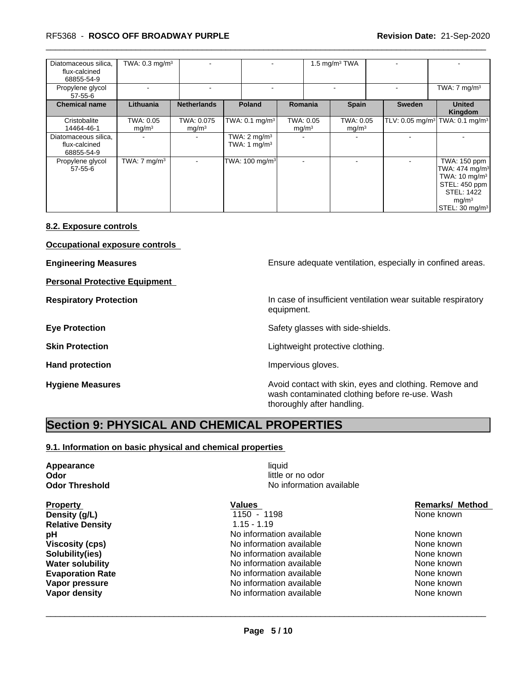### \_\_\_\_\_\_\_\_\_\_\_\_\_\_\_\_\_\_\_\_\_\_\_\_\_\_\_\_\_\_\_\_\_\_\_\_\_\_\_\_\_\_\_\_\_\_\_\_\_\_\_\_\_\_\_\_\_\_\_\_\_\_\_\_\_\_\_\_\_\_\_\_\_\_\_\_\_\_\_\_\_\_\_\_\_\_\_\_\_\_\_\_\_ RF5368 - **ROSCO OFF BROADWAY PURPLE Revision Date:** 21-Sep-2020

| Diatomaceous silica.<br>flux-calcined<br>68855-54-9 | TWA: $0.3$ mg/m <sup>3</sup>   |                                 |                                                     |                                | 1.5 mg/m $3$ TWA               |               |                                                                                                                                                                    |
|-----------------------------------------------------|--------------------------------|---------------------------------|-----------------------------------------------------|--------------------------------|--------------------------------|---------------|--------------------------------------------------------------------------------------------------------------------------------------------------------------------|
| Propylene glycol<br>$57 - 55 - 6$                   |                                |                                 |                                                     |                                |                                |               | TWA: $7 \text{ mg/m}^3$                                                                                                                                            |
| <b>Chemical name</b>                                | Lithuania                      | <b>Netherlands</b>              | <b>Poland</b>                                       | <b>Romania</b>                 | <b>Spain</b>                   | <b>Sweden</b> | <b>United</b><br>Kingdom                                                                                                                                           |
| Cristobalite<br>14464-46-1                          | TWA: 0.05<br>mg/m <sup>3</sup> | TWA: 0.075<br>mg/m <sup>3</sup> | TWA: 0.1 mg/m <sup>3</sup>                          | TWA: 0.05<br>mg/m <sup>3</sup> | TWA: 0.05<br>mg/m <sup>3</sup> |               | TLV: 0.05 mg/m <sup>3</sup> TWA: 0.1 mg/m <sup>3</sup>                                                                                                             |
| Diatomaceous silica,<br>flux-calcined<br>68855-54-9 |                                | $\blacksquare$                  | TWA: $2 \text{ mg/m}^3$<br>TWA: 1 mg/m <sup>3</sup> |                                | $\overline{\phantom{a}}$       |               |                                                                                                                                                                    |
| Propylene glycol<br>$57 - 55 - 6$                   | TWA: $7 \text{ mg/m}^3$        | $\blacksquare$                  | TWA: 100 mg/m <sup>3</sup>                          | $\overline{\phantom{0}}$       |                                |               | TWA: 150 ppm<br>TWA: $474$ mg/m <sup>3</sup><br>TWA: 10 mg/m <sup>3</sup><br>STEL: 450 ppm<br><b>STEL: 1422</b><br>mg/m <sup>3</sup><br>STEL: 30 mg/m <sup>3</sup> |

### **8.2. Exposure controls**

**Occupational exposure controls**

**Personal Protective Equipment**

**Engineering Measures Ensure adequate ventilation, especially in confined areas.** 

**Respiratory Protection In case of insufficient ventilation wear suitable respiratory** equipment.

**Eye Protection Exercise Safety glasses with side-shields.** 

**Skin Protection Skin Protection Lightweight protective clothing.** 

Hand protection **Impervious** gloves.

**Hygiene Measures Avoid contact with skin, eyes and clothing. Remove and Avoid contact with skin, eyes and clothing. Remove and Avoid contact with skin, eyes and clothing. Remove and** wash contaminated clothing before re-use. Wash thoroughly after handling.

## **Section 9: PHYSICAL AND CHEMICAL PROPERTIES**

### **9.1. Information on basic physical and chemical properties**

**Appearance** liquid **Odor Odor** little or no odor<br> **Odor Threshold Containery Containery Containery Containery Containery Property** No information

**Relative Density** 1.15 - 1.19

**No information available** 

 $\overline{\phantom{a}}$  ,  $\overline{\phantom{a}}$  ,  $\overline{\phantom{a}}$  ,  $\overline{\phantom{a}}$  ,  $\overline{\phantom{a}}$  ,  $\overline{\phantom{a}}$  ,  $\overline{\phantom{a}}$  ,  $\overline{\phantom{a}}$  ,  $\overline{\phantom{a}}$  ,  $\overline{\phantom{a}}$  ,  $\overline{\phantom{a}}$  ,  $\overline{\phantom{a}}$  ,  $\overline{\phantom{a}}$  ,  $\overline{\phantom{a}}$  ,  $\overline{\phantom{a}}$  ,  $\overline{\phantom{a}}$ 

**Density (g/L)** 1150 - 1198 **None known** 2015 **None known pH** No information available None known **Viscosity (cps)** No information available None known **Solubility(ies)** Noinformation available None known None known **Water solubility No. 2018 MET A NO Information available None known None known Evaporation Rate Notably 2008** No information available **Notably None known Vapor pressure** No information available None known None known **Vapor density** Notel Allowski and None Known None Known None known None known None known None known

## **Property Construction Construction Construction Values Construction Construction Remarks/ Method in Property**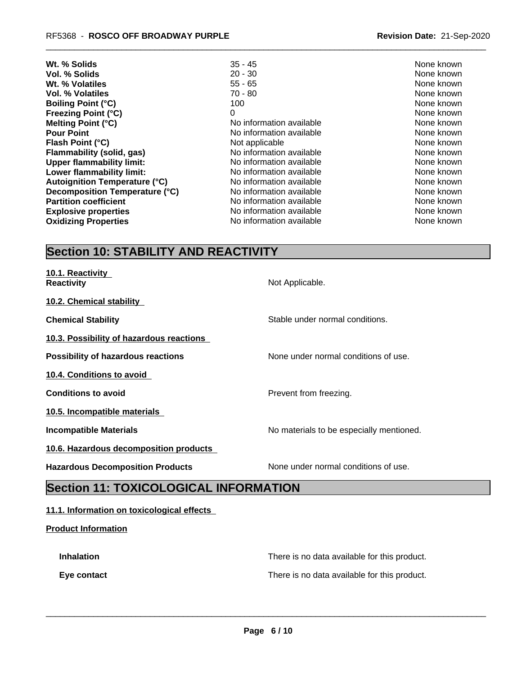| Wt. % Solids                         | $35 - 45$                | None known |
|--------------------------------------|--------------------------|------------|
| Vol. % Solids                        | $20 - 30$                | None known |
| Wt. % Volatiles                      | $55 - 65$                | None known |
| Vol. % Volatiles                     | $70 - 80$                | None known |
| <b>Boiling Point (°C)</b>            | 100                      | None known |
| <b>Freezing Point (°C)</b>           | 0                        | None known |
| Melting Point (°C)                   | No information available | None known |
| <b>Pour Point</b>                    | No information available | None known |
| Flash Point (°C)                     | Not applicable           | None known |
| Flammability (solid, gas)            | No information available | None known |
| <b>Upper flammability limit:</b>     | No information available | None known |
| Lower flammability limit:            | No information available | None known |
| <b>Autoignition Temperature (°C)</b> | No information available | None known |
| Decomposition Temperature (°C)       | No information available | None known |
| <b>Partition coefficient</b>         | No information available | None known |
| <b>Explosive properties</b>          | No information available | None known |
| <b>Oxidizing Properties</b>          | No information available | None known |
|                                      |                          |            |

# **Section 10: STABILITY AND REACTIVITY**

| 10.1. Reactivity<br><b>Reactivity</b>     | Not Applicable.                          |
|-------------------------------------------|------------------------------------------|
| 10.2. Chemical stability                  |                                          |
| <b>Chemical Stability</b>                 | Stable under normal conditions.          |
| 10.3. Possibility of hazardous reactions  |                                          |
| <b>Possibility of hazardous reactions</b> | None under normal conditions of use.     |
| 10.4. Conditions to avoid                 |                                          |
| <b>Conditions to avoid</b>                | Prevent from freezing.                   |
| 10.5. Incompatible materials              |                                          |
| <b>Incompatible Materials</b>             | No materials to be especially mentioned. |
| 10.6. Hazardous decomposition products    |                                          |
| <b>Hazardous Decomposition Products</b>   | None under normal conditions of use.     |

## **Section 11: TOXICOLOGICAL INFORMATION**

### **11.1. Information on toxicological effects**

### **Product Information**

| <b>Inhalation</b> | There is no data available for this product. |
|-------------------|----------------------------------------------|
| Eye contact       | There is no data available for this product. |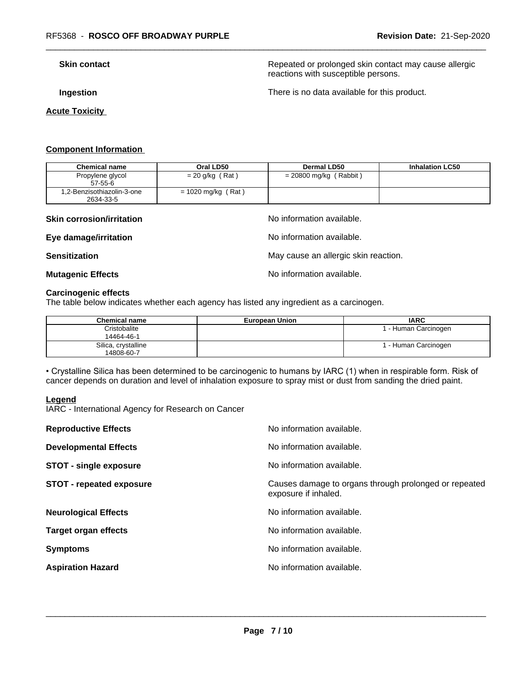**Skin contact Repeated or prolonged skin contact may cause allergic Repeated or prolonged skin contact may cause allergic** reactions with susceptible persons.

**Acute Toxicity** 

**Ingestion Ingestion Intervention There** is no data available for this product.

### **Component Information**

| <b>Chemical name</b>                    | Oral LD50            | <b>Dermal LD50</b>       | <b>Inhalation LC50</b> |
|-----------------------------------------|----------------------|--------------------------|------------------------|
| Propylene glycol<br>$57 - 55 - 6$       | $= 20$ g/kg (Rat)    | $= 20800$ mg/kg (Rabbit) |                        |
| 1,2-Benzisothiazolin-3-one<br>2634-33-5 | $= 1020$ mg/kg (Rat) |                          |                        |

### **Skin corrosion/irritation** and  $\blacksquare$  No information available.

**Eye damage/irritation Eye damage/irritation No information available.** 

**Sensitization** May cause an allergic skin reaction.

### **Mutagenic Effects Mutagenic Effects No information available.**

### **Carcinogenic effects**

The table below indicates whether each agency has listed any ingredient as a carcinogen.

| <b>Chemical name</b> | <b>European Union</b> | <b>IARC</b>          |
|----------------------|-----------------------|----------------------|
| Cristobalite         |                       | 1 - Human Carcinogen |
| 14464-46-1           |                       |                      |
| Silica, crystalline  |                       | 1 - Human Carcinogen |
| 14808-60-7           |                       |                      |

• Crystalline Silica has been determined to be carcinogenic to humans by IARC (1) when in respirable form. Risk of cancer depends on duration and level of inhalation exposure to spray mist or dust from sanding the dried paint.

### **Legend**

IARC - International Agency for Research on Cancer

| <b>Reproductive Effects</b>     | No information available.                                                     |
|---------------------------------|-------------------------------------------------------------------------------|
| <b>Developmental Effects</b>    | No information available.                                                     |
| <b>STOT - single exposure</b>   | No information available.                                                     |
| <b>STOT - repeated exposure</b> | Causes damage to organs through prolonged or repeated<br>exposure if inhaled. |
| <b>Neurological Effects</b>     | No information available.                                                     |
| <b>Target organ effects</b>     | No information available.                                                     |
| <b>Symptoms</b>                 | No information available.                                                     |
| <b>Aspiration Hazard</b>        | No information available.                                                     |
|                                 |                                                                               |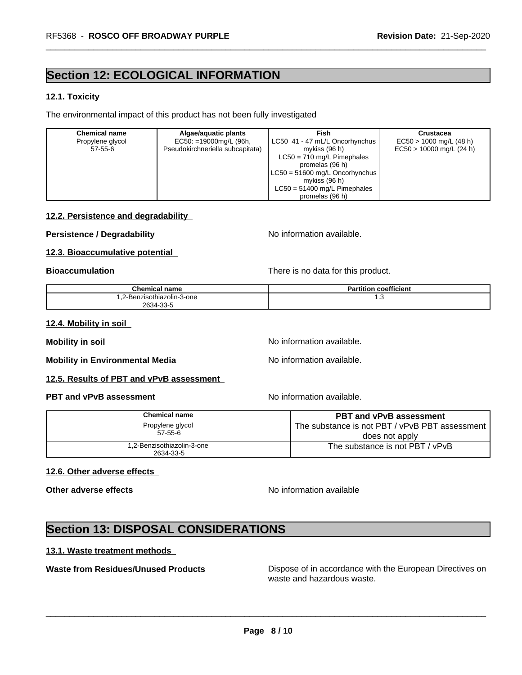## **Section 12: ECOLOGICAL INFORMATION**

### **12.1. Toxicity**

The environmental impact of this product has not been fully investigated

| <b>Chemical name</b> | Algae/aguatic plants             | Fish                                   | Crustacea                  |
|----------------------|----------------------------------|----------------------------------------|----------------------------|
| Propylene glycol     | EC50: =19000mg/L (96h,           | LC50 41 - 47 mL/L Oncorhynchus         | $EC50 > 1000$ mg/L (48 h)  |
| 57-55-6              | Pseudokirchneriella subcapitata) | mykiss (96 h)                          | $EC50 > 10000$ mg/L (24 h) |
|                      |                                  | $LC50 = 710$ mg/L Pimephales           |                            |
|                      |                                  | promelas (96 h)                        |                            |
|                      |                                  | $\vert$ LC50 = 51600 mg/L Oncorhynchus |                            |
|                      |                                  | mykiss (96 h)                          |                            |
|                      |                                  | $LC50 = 51400$ mg/L Pimephales         |                            |
|                      |                                  | promelas (96 h)                        |                            |

### **12.2. Persistence and degradability**

### **Persistence / Degradability** No information available.

### **12.3. Bioaccumulative potential**

**Bioaccumulation Bioaccumulation Bioaccumulation There is no data for this product.** 

| Chemical name              | <b>Partition coefficient</b> |
|----------------------------|------------------------------|
| 1.2-Benzisothiazolin-3-one | ں.،                          |
| 2634-33-5                  |                              |

### **12.4. Mobility in soil**

**Mobility** in soil **Mobility** in soil

**Mobility in Environmental Media** Noinformation available.

### **12.5. Results of PBT and vPvB assessment**

### **PBT and vPvB assessment No information available.** No information available.

| Chemical name                           | <b>PBT and vPvB assessment</b>                 |
|-----------------------------------------|------------------------------------------------|
| Propylene glycol                        | The substance is not PBT / vPvB PBT assessment |
| $57 - 55 - 6$                           | does not apply                                 |
| 1,2-Benzisothiazolin-3-one<br>2634-33-5 | The substance is not PBT / vPvB                |

### **12.6. Other adverse effects**

**Other adverse effects** No information available

 $\overline{\phantom{a}}$  ,  $\overline{\phantom{a}}$  ,  $\overline{\phantom{a}}$  ,  $\overline{\phantom{a}}$  ,  $\overline{\phantom{a}}$  ,  $\overline{\phantom{a}}$  ,  $\overline{\phantom{a}}$  ,  $\overline{\phantom{a}}$  ,  $\overline{\phantom{a}}$  ,  $\overline{\phantom{a}}$  ,  $\overline{\phantom{a}}$  ,  $\overline{\phantom{a}}$  ,  $\overline{\phantom{a}}$  ,  $\overline{\phantom{a}}$  ,  $\overline{\phantom{a}}$  ,  $\overline{\phantom{a}}$ 

## **Section 13: DISPOSAL CONSIDERATIONS**

### **13.1. Waste treatment methods**

**Waste from Residues/Unused Products** Dispose of in accordance with the European Directives on waste and hazardous waste.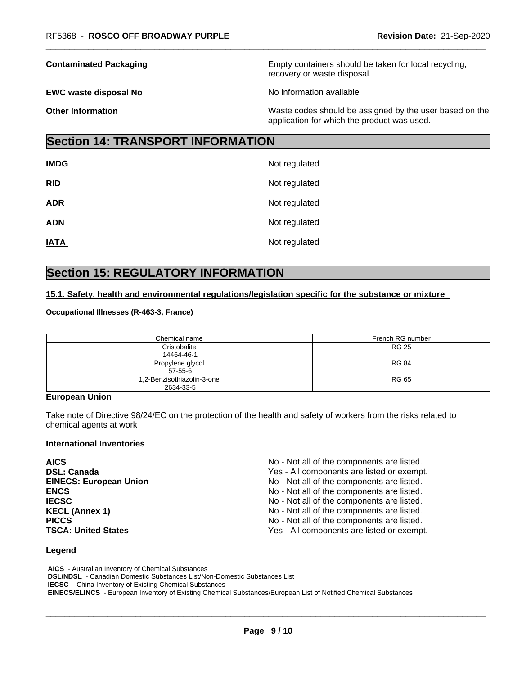**EWC waste disposal No** Noinformation available

**Contaminated Packaging <b>Empty Containers** should be taken for local recycling, recovery or waste disposal.

**Other Information** Waste codes should be assigned by the user based on the application for which the product was used.

## **Section 14: TRANSPORT INFORMATION**

| <b>IMDG</b> | Not regulated |
|-------------|---------------|
| RID         | Not regulated |
| <b>ADR</b>  | Not regulated |
| <b>ADN</b>  | Not regulated |
| <b>IATA</b> | Not regulated |

## **Section 15: REGULATORY INFORMATION**

### **15.1. Safety, health and environmental regulations/legislation specific for the substance or mixture**

### **Occupational Illnesses (R-463-3, France)**

| Chemical name                           | French RG number |
|-----------------------------------------|------------------|
| Cristobalite<br>14464-46-1              | <b>RG 25</b>     |
| Propylene glycol<br>57-55-6             | <b>RG 84</b>     |
| 1,2-Benzisothiazolin-3-one<br>2634-33-5 | RG 65            |

### **European Union**

Take note of Directive 98/24/EC on the protection of the health and safety of workers from the risks related to chemical agents at work

### **International Inventories**

| <b>AICS</b>                   | No - Not all of the components are listed. |
|-------------------------------|--------------------------------------------|
| <b>DSL: Canada</b>            | Yes - All components are listed or exempt. |
| <b>EINECS: European Union</b> | No - Not all of the components are listed. |
| <b>ENCS</b>                   | No - Not all of the components are listed. |
| <b>IECSC</b>                  | No - Not all of the components are listed. |
| <b>KECL (Annex 1)</b>         | No - Not all of the components are listed. |
| <b>PICCS</b>                  | No - Not all of the components are listed. |
| <b>TSCA: United States</b>    | Yes - All components are listed or exempt. |

### **Legend**

 **AICS** - Australian Inventory of Chemical Substances  **DSL/NDSL** - Canadian Domestic Substances List/Non-Domestic Substances List  **IECSC** - China Inventory of Existing Chemical Substances  **EINECS/ELINCS** - European Inventory of Existing Chemical Substances/European List of Notified Chemical Substances